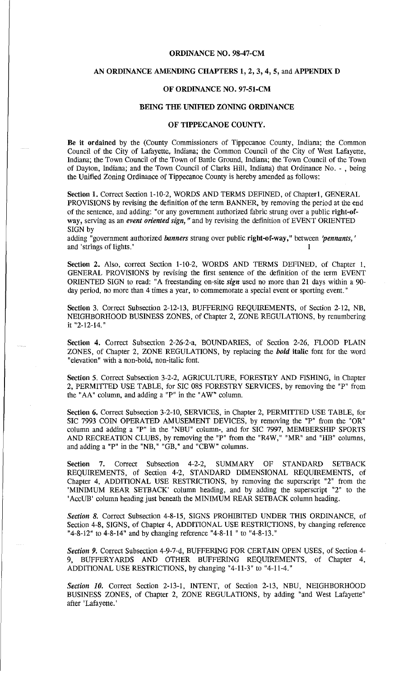#### ORDINANCE NO. 98-47-CM

#### AN ORDINANCE AMENDING CHAPTERS 1, 2, 3, 4, 5, and APPENDIX D

### OF ORDINANCE NO. 97-51-CM

## BEING THE UNIFIED ZONING ORDINANCE

## OF TIPPECANOE COUNTY.

Be it ordained by the (County Commissioners of Tippecanoe County, Indiana; the Common Council of the City of Lafayette., Indiana; the Common Council of the City of West Lafayette, Indiana; the Town Council of the Town of Battle Ground, Indiana; the Town Council of the Town of Dayton, Indiana; and the Town Council of Clarks Hill, Indiana) that Ordinance No. - , being the Unified Zoning Ordinance of Tippecanoe County is hereby amended as follows:

Section 1. Correct Section 1-10-2, WORDS AND TERMS DEFINED, of Chapter1, GENERAL PROVISIONS by revising the definition of the term BANNER, by removing the period at the end of the sentence, and adding: "or any government authorized fabric strung over a public right-ofway, serving as an *event oriented sign,* " and by revising the definition of EVENT ORIENTED SIGN by

adding "government authorized *banners* strung over public right-of-way," between *'pennants,'*  and 'strings of lights.'

Section 2. Also, correct Section 1-10-2, WORDS AND TERMS DEFINED, of Chapter 1, GENERAL PROVISIONS by revising the first sentence of the definition of the term EVENT ORIENTED SIGN to read: "A freestanding on-site *sign* used no more than 21 days within a 90 day period, no more than 4 times a year, to commemorate a special event or sporting event."

Section 3. Correct Subsection 2-12-13, BUFFERING REQUIREMENTS, of Section 2-12, NB, NEIGHBORHOOD BUSINESS ZONES, of Chapter 2, ZONE REGULATIONS, by renumbering it "2-12-14."

Section 4. Correct Subsection 2-26-2-a, BOUNDARIES, of Section 2-26, FLOOD PLAIN ZONES, of Chapter 2, ZONE REGULATIONS, by replacing the *bold* italic font for the word "elevation" with a non-bold, non-italic font.

Section 5. Correct Subsection 3-2-2, AGRICULTURE, FORESTRY AND FISHING, in Chapter 2, PERMITTED USE TABLE, for SIC 085 FORESTRY SERVICES, by removing the "P" from the "AA" column, and adding a "P" in the "AW" column.

Section 6. Correct Subsection 3-2-10, SERVICES, in Chapter 2, PERMITTED USE TABLE, for SIC 7993 COIN OPERATED AMUSEMENT DEVICES, by removing the "P" from the "OR" column and adding a "P" in the "NBU" column-, and for SIC 7997, MEMBERSHIP SPORTS AND RECREATION CLUBS, by removing the "P" from the "R4W," "MR" and "HB" columns, and adding a "P" in the "NB," "GB," and "CBW" columns.

Section 7. Correct Subsection 4-2-2, SUMMARY OF STANDARD SETBACK REQUIREMENTS, of Section 4-2, STANDARD DIMENSIONAL REQUIREMENTS, of Chapter 4, ADDITIONAL USE RESTRICTIONS, by removing the superscript "2" from the 'MINIMUM REAR SETBACK' column heading, and by adding the superscript "2" to the 'AccUB' column heading just beneath the MINIMUM REAR SETBACK column heading.

*Section 8.* Correct Subsection 4-8-15, SIGNS PROHIBITED UNDER THIS ORDINANCE, of Section 4-8, SIGNS, of Chapter 4, ADDITIONAL USE RESTRICTIONS, by changing reference "4-8-12" to 4-8-14" and by changing reference "4-8-11 "to "4-8-13."

*Section 9.* Correct Subsection 4-9-7-d, BUFFERING FOR CERTAIN OPEN USES, of Section 4- 9, BUFFERYARDS AND OTHER BUFFERING REQUIREMENTS, of Chapter 4, ADDITIONAL USE RESTRICTIONS, by changing "4-11-3" to "4-11-4."

*Section 10.* Correct Section 2-13-1, INTENT, of Section 2-13, NBU, NEIGHBORHOOD BUSINESS ZONES, of Chapter 2, ZONE REGULATIONS, by adding "and West Lafayette" after 'Lafayette.'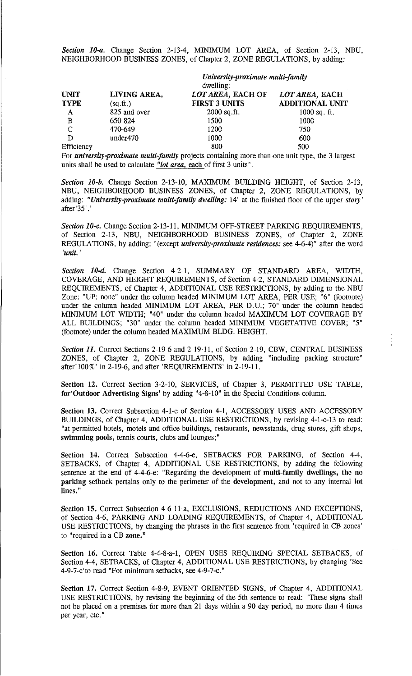*Section 10-a.* Change Section 2-13-4, MINIMUM LOT AREA, of Section 2-13, NBU, NEIGHBORHOOD BUSINESS ZONES, of Chapter 2, ZONE REGULATIONS, by adding:

|              | University-proximate multi-family |                      |                        |
|--------------|-----------------------------------|----------------------|------------------------|
|              |                                   | dwelling:            |                        |
| <b>UNIT</b>  | LIVING AREA,                      | LOT AREA, EACH OF    | LOT AREA, EACH         |
| <b>TYPE</b>  | (sq.fr.)                          | <b>FIRST 3 UNITS</b> | <b>ADDITIONAL UNIT</b> |
| A            | 825 and over                      | $2000$ sq.ft.        | $1000$ sq. ft.         |
| $\mathbf{B}$ | 650-824                           | 1500                 | 1000                   |
| $\mathbb{C}$ | 470-649                           | 1200                 | 750                    |
| D            | under470                          | 1000                 | 600                    |
| Efficiency   |                                   | 800                  | 500                    |

For *university-proximate multi-family* projects containing more than one unit type, the 3 largest units shall be used to calculate *"lot area,* each of first 3 units".

*Section 10-b.* Change Section 2-13-10, MAXIMUM BUILDING HEIGHT, of Section 2-13, NBU, NEIGHBORHOOD BUSINESS ZONES, of Chapter 2, ZONE REGULATIONS, by adding: *"University-proximate multi-family dwelling:* 14' at the finished floor of the upper *story'*  after'35'.'

**Section 10-c.** Change Section 2-13-11, MINIMUM OFF-STREET PARKING REOUIREMENTS, of Section 2-13, NBU, NEIGHBORHOOD BUSINESS ZONES, of Chapter 2, ZONE REGULATIONS, by adding: "(except *university-proximate residences:* see 4-6-4)" after the word *'unit.* <sup>1</sup>

*Section 10-d.* Change Section 4-2-1, SUMMARY OF STANDARD AREA, WIDTH, COVERAGE, AND HEIGHT REQUIREMENTS, of Section 4-2, STANDARD DIMENSIONAL REQUIREMENTS, of Chapter 4, ADDITIONAL USE RESTRICTIONS, by adding to the NBU Zone: "UP: none" under the column headed MINIMUM LOT AREA, PER USE; "6" (footnote) under the column headed MINIMUM LOT AREA, PER D.U.; 70" under the column headed MINIMUM LOT WIDTH; "40" under the column headed MAXIMUM LOT COVERAGE BY ALL BUILDINGS; "30" under the column headed MINIMUM VEGETATIVE COVER; "5" (footnote) under the column headed MAXIMUM BLDG. HEIGHT.

*Section 11.* Correct Sections 2-19-6 and 2-19-11, of Section 2-19, CBW, CENTRAL BUSINESS ZONES, of Chapter 2, ZONE REGULATIONS, by adding "including parking structure" after'100%' in 2-19-6, and after 'REQUIREMENTS' in 2-19-11.

Section 12. Correct Section 3-2-10, SERVICES, of Chapter 3, PERMITTED USE TABLE, for'Outdoor Advertising Signs' by adding "4-8-10" in the Special Conditions colunm.

Section 13. Correct Subsection 4-1-c of Section 4-1, ACCESSORY USES AND ACCESSORY BUILDINGS, of Chapter 4, ADDITIONAL USE RESTRICTIONS, by revising 4-1-c-13 to read: "at permitted hotels, motels and office buildings, restaurants, newsstands, drug stores, gift shops, swimming pools, tennis courts, clubs and lounges;"

Section 14. Correct Subsection 4-4-6-e, SETBACKS FOR PARKING, of Section 4-4, SETBACKS, of Chapter 4, ADDITIONAL USE RESTRICTIONS, by adding the following sentence at the end of 4-4-6-e: "Regarding the development of multi-family dwellings, the no parking setback pertains only to the perimeter of the development, and not to any internal lot lines."

Section 15. Correct Subsection 4-6-11-a, EXCLUSIONS, REDUCTIONS AND EXCEPTIONS, of Section 4-6, PARKING AND LOADING REQUIREMENTS, of Chapter 4, ADDITIONAL USE RESTRICTIONS, by changing the phrases in the first sentence from 'required in CB zones' to "required in a CB zone."

Section 16. Correct Table 4-4-8-a-1, OPEN USES REQUIRING SPECIAL SETBACKS, of Section 4-4, SETBACKS, of Chapter 4, ADDITIONAL USE RESTRICTIONS, by changing 'See 4-9-7-c'to read "For minimum setbacks, see 4-9-7-c."

Section 17. Correct Section 4-8-9, EVENT ORIENTED SIGNS, of Chapter 4, ADDITIONAL USE RESTRICTIONS, by revising the beginning of the 5th sentence to read: "These signs shall not be placed on a premises for more than 21 days within a 90 day period, no more than 4 times per year, etc."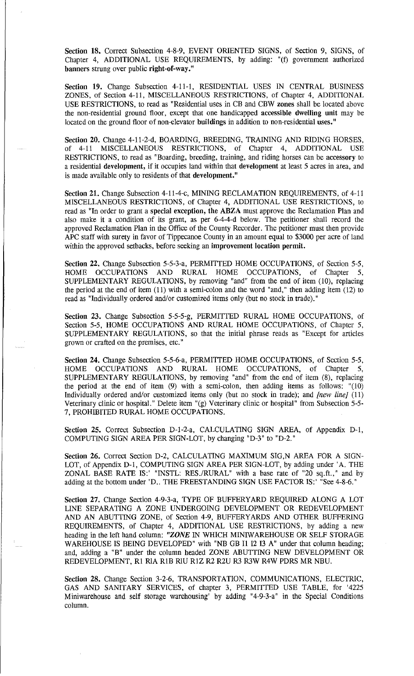Section 18. Correct Subsection 4-8-9, EVENT ORIENTED SIGNS, of Section 9, SIGNS, of Chapter 4, ADDITIONAL USE REQUIREMENTS, by adding: "(t) government authorized banners strung over public right-of-way."

Section 19. Change Subsection 4-11-1, RESIDENTIAL USES IN CENTRAL BUSINESS ZONES, of Section 4-11, MISCELLANEOUS RESTRICTIONS, of Chapter 4, ADDITIONAL USE RESTRICTIONS, to read as "Residential uses in CB and CBW zones shall be located above the non-residential ground floor, except that one handicapped accessible dwelling unit may be located on the ground floor of non-elevator buildings in addition to non-residential uses."

Section 20. Change 4-11-2-d, BOARDING, BREEDING, TRAINING AND RIDING HORSES, of 4-11 MISCELLANEOUS RESTRICTIONS, of Chapter 4, ADDITIONAL USE RESTRICTIONS, to read as "Boarding, breeding, training, and riding horses can be accessory to a residential development, if it occupies land within that development at least 5 acres in area, and is made available only to residents of that development."

Section 21. Change Subsection 4-11-4-c, MINING RECLAMATION REQUIREMENTS, of 4-11 MISCELLANEOUS RESTRICTIONS, of Chapter 4, ADDITIONAL USE RESTRICTIONS, to read as "In order to grant a special exception, the ABZA must approve the Reclamation Plan and also make it a condition of its grant, as per 6-4-4-d below. The petitioner shall record the approved Reclamation Plan in the Office of the County Recorder. The petitioner must then provide APC staff with surety in favor of Tippecanoe County in an amount equal to \$3000 per acre of land within the approved setbacks, before seeking an improvement location permit.

Section 22. Change Subsection 5-5-3-a, PERMITTED HOME OCCUPATIONS, of Section 5-5, HOME OCCUPATIONS AND RURAL HOME OCCUPATIONS, of Chapter 5, SUPPLEMENTARY REGULATIONS, by removing "and" from the end of item (10), replacing the period at the end of item (11) with a semi-colon and the word "and," then adding item (12) to read as "Individually ordered and/or customized items only (but no stock in trade)."

Section 23. Change Subsection 5-5-5-g, PERMITTED RURAL HOME OCCUPATIONS, of Section 5-5, HOME OCCUPATIONS AND RURAL HOME OCCUPATIONS, of Chapter 5, SUPPLEMENTARY REGULATIONS, so that the initial phrase reads as "Except for articles grown or crafted on the premises, etc."

Section 24. Change Subsection 5-5-6-a, PERMITTED HOME OCCUPATIONS, of Section 5-5, HOME OCCUPATIONS AND RURAL HOME OCCUPATIONS, of Chapter 5, SUPPLEMENTARY REGULATIONS, by removing "and" from the end of item (8), replacing the period at the end of item (9) with a semi-colon, then adding items as follows: "(10) Individually ordered and/or customized items only (but no stock in trade); and *[new line]* (11) Veterinary clinic or hospital." Delete item "(g) Veterinary clinic or hospital" from Subsection 5-5- 7, PROHIBITED RURAL HOME OCCUPATIONS.

Section 25. Correct Subsection D-1-2-a, CALCULATING SIGN AREA, of Appendix D-1, COMPUTING SIGN AREA PER SIGN-LOT, by changing "D-3" to "D-2."

Section 26. Correct Section D-2, CALCULATING MAXIMUM SIG, NAREA FOR A SIGN-LOT, of Appendix D-1, COMPUTING SIGN AREA PER SIGN-LOT, by adding under 'A. THE ZONAL BASE RATE IS:' "JNSTL: RES./RURAL" with a base rate of "20 sq.ft.," and by adding at the bottom under 'D.. THE FREESTANDING SIGN USE FACTOR IS:' "See 4-8-6."

Section 27. Change Section 4-9-3-a, TYPE OF BUFFERY ARD REQUIRED ALONG A LOT LINE SEPARATING A ZONE UNDERGOING DEVELOPMENT OR REDEVELOPMENT AND AN ABUTTING ZONE, of Section 4-9, BUFFERYARDS AND OTHER BUFFERING REQUIREMENTS, of Chapter 4, ADDITIONAL USE RESTRICTIONS, by adding a new heading in the left hand column: *"ZONE* IN WHICH MINIW AREHOUSE OR SELF STORAGE WAREHOUSE IS BEING DEVELOPED" with "NB GB II I2 13 A" under that column heading; and, adding a "B" under the column headed ZONE ABUTTING NEW DEVELOPMENT OR REDEVELOPMENT, RI RIA RIB RIU RIZ R2 R2U R3 R3W R4W PDRS MR NBU.

Section 28. Change Section 3-2-6, TRANSPORTATION, COMMUNICATIONS, ELECTRIC, GAS AND SANITARY SERVICES, of chapter 3, PERMITTED USE TABLE, for '4225 Miniwarehouse and self storage warehousing' by adding "4-9-3-a" in the Special Conditions column.